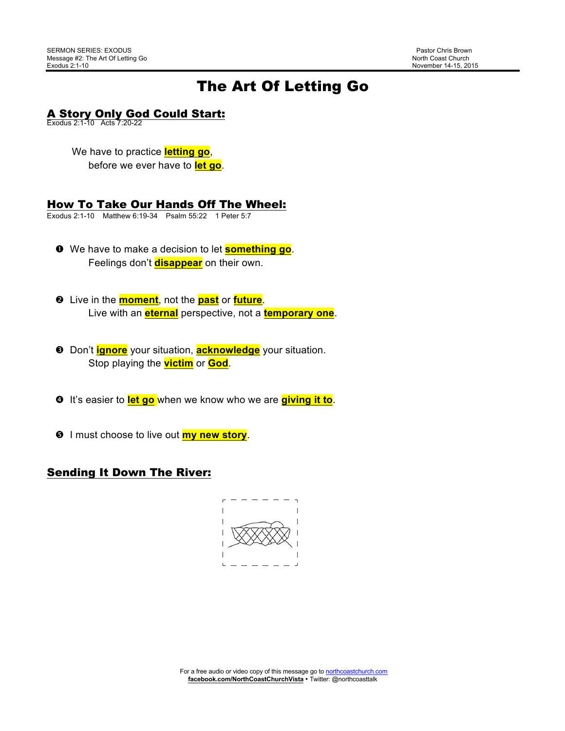# The Art Of Letting Go

# **A Story Only God Could Start:**<br>Exodus 2:1-10 Acts 7:20-22

# We have to practice **letting go**,

before we ever have to **let go**.

### How To Take Our Hands Off The Wheel:

Exodus 2:1-10 Matthew 6:19-34 Psalm 55:22 1 Peter 5:7

- ! We have to make a decision to let **something go**. Feelings don't **disappear** on their own.
- **2** Live in the **moment**, not the **past** or **future**. Live with an **eternal** perspective, not a **temporary one**.
- **8** Don't **ignore** your situation, **acknowledge** your situation. Stop playing the **victim** or **God**.
- $\bullet$  It's easier to **let go** when we know who we are **giving it to**.
- **8** I must choose to live out **my new story**.

# Sending It Down The River:

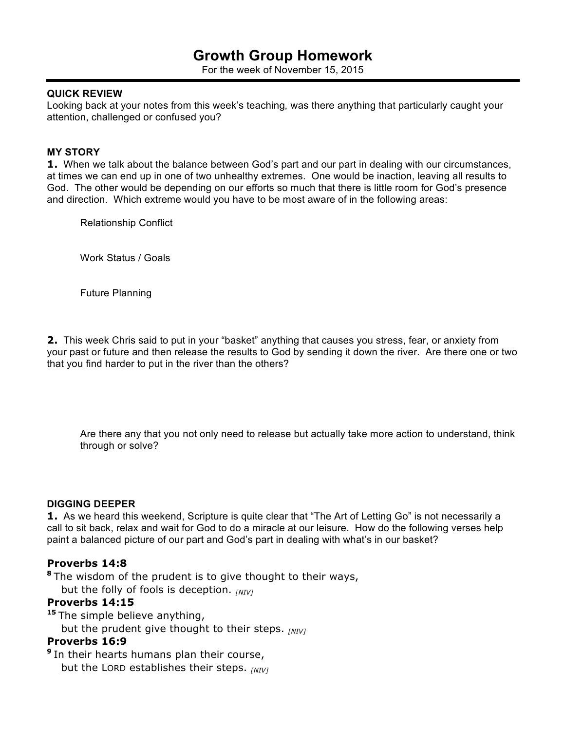# **Growth Group Homework**

For the week of November 15, 2015

#### **QUICK REVIEW**

Looking back at your notes from this week's teaching*,* was there anything that particularly caught your attention, challenged or confused you?

#### **MY STORY**

**1.** When we talk about the balance between God's part and our part in dealing with our circumstances, at times we can end up in one of two unhealthy extremes. One would be inaction, leaving all results to God. The other would be depending on our efforts so much that there is little room for God's presence and direction. Which extreme would you have to be most aware of in the following areas:

Relationship Conflict

Work Status / Goals

Future Planning

**2.** This week Chris said to put in your "basket" anything that causes you stress, fear, or anxiety from your past or future and then release the results to God by sending it down the river. Are there one or two that you find harder to put in the river than the others?

Are there any that you not only need to release but actually take more action to understand, think through or solve?

#### **DIGGING DEEPER**

**1.** As we heard this weekend, Scripture is quite clear that "The Art of Letting Go" is not necessarily a call to sit back, relax and wait for God to do a miracle at our leisure. How do the following verses help paint a balanced picture of our part and God's part in dealing with what's in our basket?

#### **Proverbs 14:8**

**<sup>8</sup>** The wisdom of the prudent is to give thought to their ways, but the folly of fools is deception. *[NIV]*

#### **Proverbs 14:15**

**<sup>15</sup>** The simple believe anything,

but the prudent give thought to their steps. *[NIV]*

## **Proverbs 16:9**

**<sup>9</sup>** In their hearts humans plan their course, but the LORD establishes their steps. *[NIV]*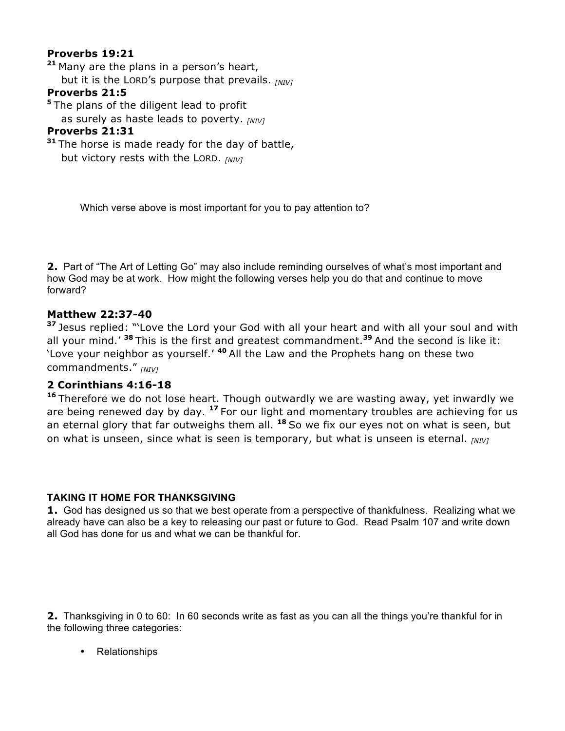# **Proverbs 19:21**

**<sup>21</sup>** Many are the plans in a person's heart, but it is the LORD's purpose that prevails. *[NIV]*

## **Proverbs 21:5**

**<sup>5</sup>** The plans of the diligent lead to profit

as surely as haste leads to poverty. *[NIV]*

# **Proverbs 21:31**

**<sup>31</sup>** The horse is made ready for the day of battle, but victory rests with the LORD. *[NIV]*

Which verse above is most important for you to pay attention to?

**2.** Part of "The Art of Letting Go" may also include reminding ourselves of what's most important and how God may be at work. How might the following verses help you do that and continue to move forward?

# **Matthew 22:37-40**

**<sup>37</sup>** Jesus replied: "'Love the Lord your God with all your heart and with all your soul and with all your mind.' **<sup>38</sup>** This is the first and greatest commandment.**<sup>39</sup>** And the second is like it: 'Love your neighbor as yourself.' **<sup>40</sup>** All the Law and the Prophets hang on these two commandments." *[NIV]*

# **2 Corinthians 4:16-18**

**<sup>16</sup>** Therefore we do not lose heart. Though outwardly we are wasting away, yet inwardly we are being renewed day by day. **<sup>17</sup>** For our light and momentary troubles are achieving for us an eternal glory that far outweighs them all. **<sup>18</sup>** So we fix our eyes not on what is seen, but on what is unseen, since what is seen is temporary, but what is unseen is eternal. *[NIV]*

# **TAKING IT HOME FOR THANKSGIVING**

**1.** God has designed us so that we best operate from a perspective of thankfulness. Realizing what we already have can also be a key to releasing our past or future to God. Read Psalm 107 and write down all God has done for us and what we can be thankful for.

**2.** Thanksgiving in 0 to 60: In 60 seconds write as fast as you can all the things you're thankful for in the following three categories:

• Relationships